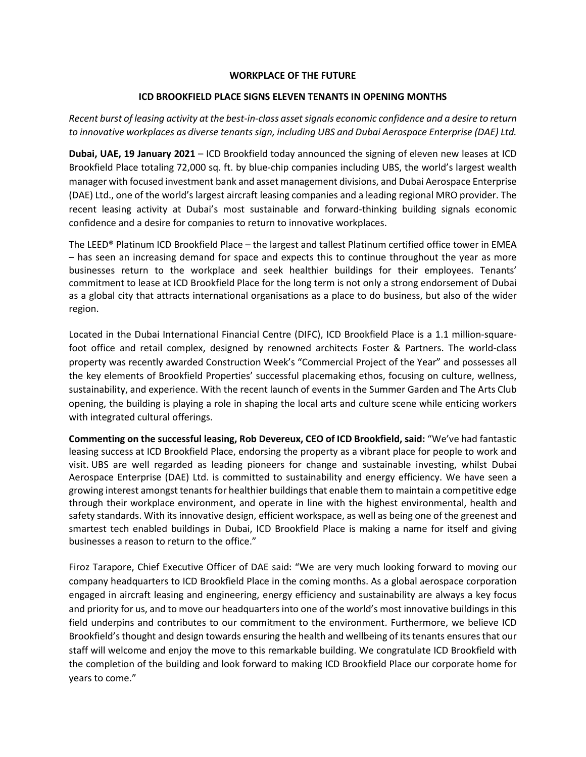# **WORKPLACE OF THE FUTURE**

# **ICD BROOKFIELD PLACE SIGNS ELEVEN TENANTS IN OPENING MONTHS**

*Recent burst of leasing activity at the best-in-class asset signals economic confidence and a desire to return to innovative workplaces as diverse tenants sign, including UBS and Dubai Aerospace Enterprise (DAE) Ltd.*

**Dubai, UAE, 19 January 2021** – ICD Brookfield today announced the signing of eleven new leases at ICD Brookfield Place totaling 72,000 sq. ft. by blue-chip companies including UBS, the world's largest wealth manager with focused investment bank and asset management divisions, and Dubai Aerospace Enterprise (DAE) Ltd., one of the world's largest aircraft leasing companies and a leading regional MRO provider. The recent leasing activity at Dubai's most sustainable and forward-thinking building signals economic confidence and a desire for companies to return to innovative workplaces.

The LEED® Platinum ICD Brookfield Place – the largest and tallest Platinum certified office tower in EMEA – has seen an increasing demand for space and expects this to continue throughout the year as more businesses return to the workplace and seek healthier buildings for their employees. Tenants' commitment to lease at ICD Brookfield Place for the long term is not only a strong endorsement of Dubai as a global city that attracts international organisations as a place to do business, but also of the wider region.

Located in the Dubai International Financial Centre (DIFC), ICD Brookfield Place is a 1.1 million-squarefoot office and retail complex, designed by renowned architects Foster & Partners. The world-class property was recently awarded Construction Week's "Commercial Project of the Year" and possesses all the key elements of Brookfield Properties' successful placemaking ethos, focusing on culture, wellness, sustainability, and experience. With the recent launch of events in the Summer Garden and The Arts Club opening, the building is playing a role in shaping the local arts and culture scene while enticing workers with integrated cultural offerings.

**Commenting on the successful leasing, Rob Devereux, CEO of ICD Brookfield, said:** "We've had fantastic leasing success at ICD Brookfield Place, endorsing the property as a vibrant place for people to work and visit. UBS are well regarded as leading pioneers for change and sustainable investing, whilst Dubai Aerospace Enterprise (DAE) Ltd. is committed to sustainability and energy efficiency. We have seen a growing interest amongst tenants for healthier buildings that enable them to maintain a competitive edge through their workplace environment, and operate in line with the highest environmental, health and safety standards. With its innovative design, efficient workspace, as well as being one of the greenest and smartest tech enabled buildings in Dubai, ICD Brookfield Place is making a name for itself and giving businesses a reason to return to the office."

Firoz Tarapore, Chief Executive Officer of DAE said: "We are very much looking forward to moving our company headquarters to ICD Brookfield Place in the coming months. As a global aerospace corporation engaged in aircraft leasing and engineering, energy efficiency and sustainability are always a key focus and priority for us, and to move our headquarters into one of the world's most innovative buildings in this field underpins and contributes to our commitment to the environment. Furthermore, we believe ICD Brookfield's thought and design towards ensuring the health and wellbeing of its tenants ensures that our staff will welcome and enjoy the move to this remarkable building. We congratulate ICD Brookfield with the completion of the building and look forward to making ICD Brookfield Place our corporate home for years to come."